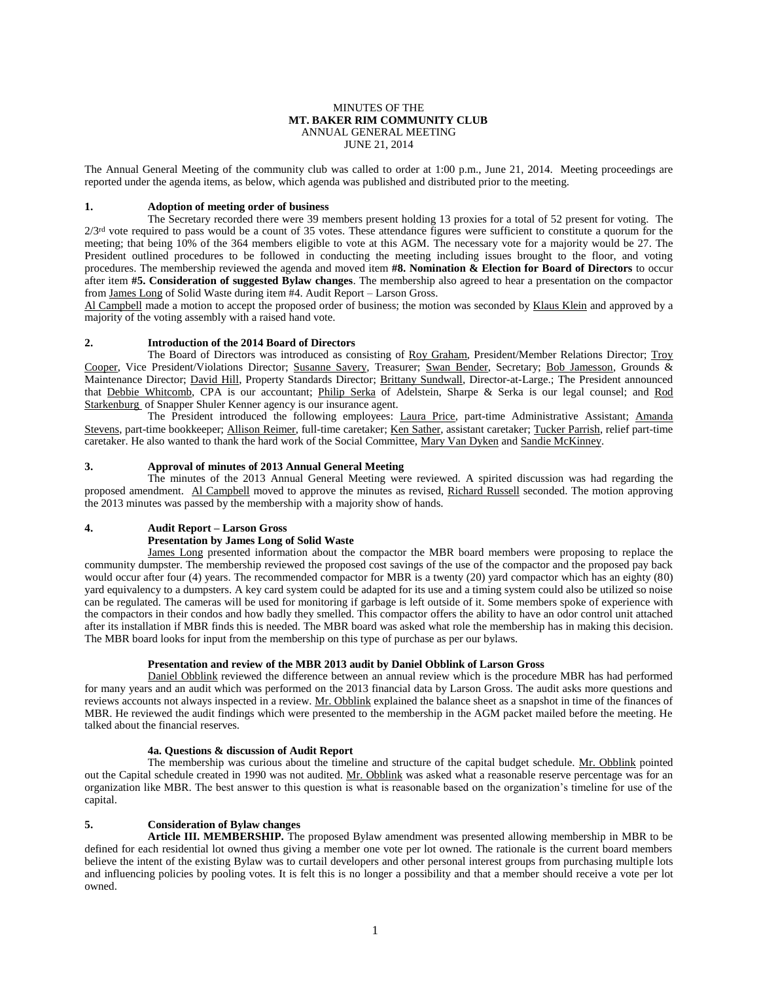#### MINUTES OF THE **MT. BAKER RIM COMMUNITY CLUB** ANNUAL GENERAL MEETING JUNE 21, 2014

The Annual General Meeting of the community club was called to order at 1:00 p.m., June 21, 2014. Meeting proceedings are reported under the agenda items, as below, which agenda was published and distributed prior to the meeting.

## **1. Adoption of meeting order of business**

The Secretary recorded there were 39 members present holding 13 proxies for a total of 52 present for voting. The  $2/3$ <sup>rd</sup> vote required to pass would be a count of 35 votes. These attendance figures were sufficient to constitute a quorum for the meeting; that being 10% of the 364 members eligible to vote at this AGM. The necessary vote for a majority would be 27. The President outlined procedures to be followed in conducting the meeting including issues brought to the floor, and voting procedures. The membership reviewed the agenda and moved item **#8. Nomination & Election for Board of Directors** to occur after item **#5. Consideration of suggested Bylaw changes**. The membership also agreed to hear a presentation on the compactor from James Long of Solid Waste during item #4. Audit Report – Larson Gross.

Al Campbell made a motion to accept the proposed order of business; the motion was seconded by Klaus Klein and approved by a majority of the voting assembly with a raised hand vote.

# **2. Introduction of the 2014 Board of Directors**

The Board of Directors was introduced as consisting of Roy Graham, President/Member Relations Director; Troy Cooper, Vice President/Violations Director; Susanne Savery, Treasurer; Swan Bender, Secretary; Bob Jamesson, Grounds & Maintenance Director; David Hill, Property Standards Director; Brittany Sundwall, Director-at-Large.; The President announced that Debbie Whitcomb, CPA is our accountant; Philip Serka of Adelstein, Sharpe & Serka is our legal counsel; and Rod Starkenburg of Snapper Shuler Kenner agency is our insurance agent.

The President introduced the following employees: Laura Price, part-time Administrative Assistant; Amanda Stevens, part-time bookkeeper; Allison Reimer, full-time caretaker; Ken Sather, assistant caretaker; Tucker Parrish, relief part-time caretaker. He also wanted to thank the hard work of the Social Committee, Mary Van Dyken and Sandie McKinney.

# **3. Approval of minutes of 2013 Annual General Meeting**

The minutes of the 2013 Annual General Meeting were reviewed. A spirited discussion was had regarding the proposed amendment. Al Campbell moved to approve the minutes as revised, Richard Russell seconded. The motion approving the 2013 minutes was passed by the membership with a majority show of hands.

### **4. Audit Report – Larson Gross**

# **Presentation by James Long of Solid Waste**

James Long presented information about the compactor the MBR board members were proposing to replace the community dumpster. The membership reviewed the proposed cost savings of the use of the compactor and the proposed pay back would occur after four (4) years. The recommended compactor for MBR is a twenty (20) yard compactor which has an eighty (80) yard equivalency to a dumpsters. A key card system could be adapted for its use and a timing system could also be utilized so noise can be regulated. The cameras will be used for monitoring if garbage is left outside of it. Some members spoke of experience with the compactors in their condos and how badly they smelled. This compactor offers the ability to have an odor control unit attached after its installation if MBR finds this is needed. The MBR board was asked what role the membership has in making this decision. The MBR board looks for input from the membership on this type of purchase as per our bylaws.

### **Presentation and review of the MBR 2013 audit by Daniel Obblink of Larson Gross**

Daniel Obblink reviewed the difference between an annual review which is the procedure MBR has had performed for many years and an audit which was performed on the 2013 financial data by Larson Gross. The audit asks more questions and reviews accounts not always inspected in a review. Mr. Obblink explained the balance sheet as a snapshot in time of the finances of MBR. He reviewed the audit findings which were presented to the membership in the AGM packet mailed before the meeting. He talked about the financial reserves.

### **4a. Questions & discussion of Audit Report**

The membership was curious about the timeline and structure of the capital budget schedule. Mr. Obblink pointed out the Capital schedule created in 1990 was not audited. Mr. Obblink was asked what a reasonable reserve percentage was for an organization like MBR. The best answer to this question is what is reasonable based on the organization's timeline for use of the capital.

# **5. Consideration of Bylaw changes**

**Article III. MEMBERSHIP.** The proposed Bylaw amendment was presented allowing membership in MBR to be defined for each residential lot owned thus giving a member one vote per lot owned. The rationale is the current board members believe the intent of the existing Bylaw was to curtail developers and other personal interest groups from purchasing multiple lots and influencing policies by pooling votes. It is felt this is no longer a possibility and that a member should receive a vote per lot owned.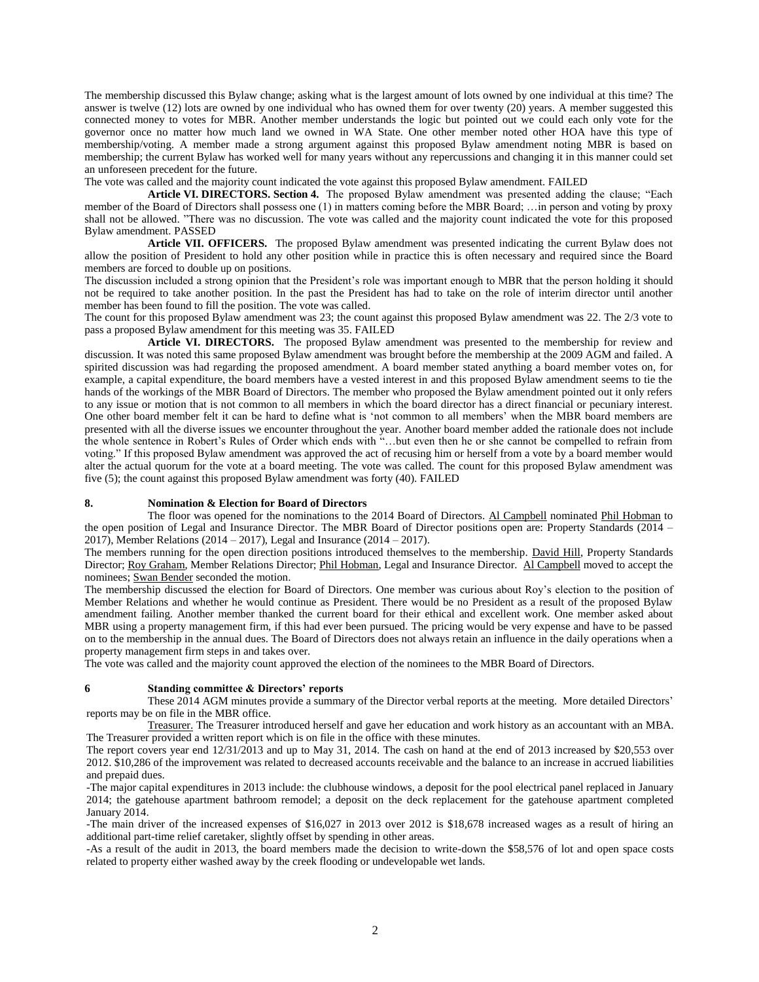The membership discussed this Bylaw change; asking what is the largest amount of lots owned by one individual at this time? The answer is twelve (12) lots are owned by one individual who has owned them for over twenty (20) years. A member suggested this connected money to votes for MBR. Another member understands the logic but pointed out we could each only vote for the governor once no matter how much land we owned in WA State. One other member noted other HOA have this type of membership/voting. A member made a strong argument against this proposed Bylaw amendment noting MBR is based on membership; the current Bylaw has worked well for many years without any repercussions and changing it in this manner could set an unforeseen precedent for the future.

The vote was called and the majority count indicated the vote against this proposed Bylaw amendment. FAILED

**Article VI. DIRECTORS. Section 4.** The proposed Bylaw amendment was presented adding the clause; "Each member of the Board of Directors shall possess one (1) in matters coming before the MBR Board; …in person and voting by proxy shall not be allowed. "There was no discussion. The vote was called and the majority count indicated the vote for this proposed Bylaw amendment. PASSED

**Article VII. OFFICERS.** The proposed Bylaw amendment was presented indicating the current Bylaw does not allow the position of President to hold any other position while in practice this is often necessary and required since the Board members are forced to double up on positions.

The discussion included a strong opinion that the President's role was important enough to MBR that the person holding it should not be required to take another position. In the past the President has had to take on the role of interim director until another member has been found to fill the position. The vote was called.

The count for this proposed Bylaw amendment was 23; the count against this proposed Bylaw amendment was 22. The 2/3 vote to pass a proposed Bylaw amendment for this meeting was 35. FAILED

**Article VI. DIRECTORS.** The proposed Bylaw amendment was presented to the membership for review and discussion. It was noted this same proposed Bylaw amendment was brought before the membership at the 2009 AGM and failed. A spirited discussion was had regarding the proposed amendment. A board member stated anything a board member votes on, for example, a capital expenditure, the board members have a vested interest in and this proposed Bylaw amendment seems to tie the hands of the workings of the MBR Board of Directors. The member who proposed the Bylaw amendment pointed out it only refers to any issue or motion that is not common to all members in which the board director has a direct financial or pecuniary interest. One other board member felt it can be hard to define what is 'not common to all members' when the MBR board members are presented with all the diverse issues we encounter throughout the year. Another board member added the rationale does not include the whole sentence in Robert's Rules of Order which ends with "…but even then he or she cannot be compelled to refrain from voting." If this proposed Bylaw amendment was approved the act of recusing him or herself from a vote by a board member would alter the actual quorum for the vote at a board meeting. The vote was called. The count for this proposed Bylaw amendment was five (5); the count against this proposed Bylaw amendment was forty (40). FAILED

#### **8. Nomination & Election for Board of Directors**

The floor was opened for the nominations to the 2014 Board of Directors. Al Campbell nominated Phil Hobman to the open position of Legal and Insurance Director. The MBR Board of Director positions open are: Property Standards (2014 – 2017), Member Relations (2014 – 2017), Legal and Insurance (2014 – 2017).

The members running for the open direction positions introduced themselves to the membership. David Hill, Property Standards Director; Roy Graham, Member Relations Director; Phil Hobman, Legal and Insurance Director. Al Campbell moved to accept the nominees; Swan Bender seconded the motion.

The membership discussed the election for Board of Directors. One member was curious about Roy's election to the position of Member Relations and whether he would continue as President. There would be no President as a result of the proposed Bylaw amendment failing. Another member thanked the current board for their ethical and excellent work. One member asked about MBR using a property management firm, if this had ever been pursued. The pricing would be very expense and have to be passed on to the membership in the annual dues. The Board of Directors does not always retain an influence in the daily operations when a property management firm steps in and takes over.

The vote was called and the majority count approved the election of the nominees to the MBR Board of Directors.

#### **6 Standing committee & Directors' reports**

These 2014 AGM minutes provide a summary of the Director verbal reports at the meeting. More detailed Directors' reports may be on file in the MBR office.

Treasurer. The Treasurer introduced herself and gave her education and work history as an accountant with an MBA. The Treasurer provided a written report which is on file in the office with these minutes.

The report covers year end  $12/31/2013$  and up to May 31, 2014. The cash on hand at the end of 2013 increased by \$20,553 over 2012. \$10,286 of the improvement was related to decreased accounts receivable and the balance to an increase in accrued liabilities and prepaid dues.

-The major capital expenditures in 2013 include: the clubhouse windows, a deposit for the pool electrical panel replaced in January 2014; the gatehouse apartment bathroom remodel; a deposit on the deck replacement for the gatehouse apartment completed January 2014.

-The main driver of the increased expenses of \$16,027 in 2013 over 2012 is \$18,678 increased wages as a result of hiring an additional part-time relief caretaker, slightly offset by spending in other areas.

-As a result of the audit in 2013, the board members made the decision to write-down the \$58,576 of lot and open space costs related to property either washed away by the creek flooding or undevelopable wet lands.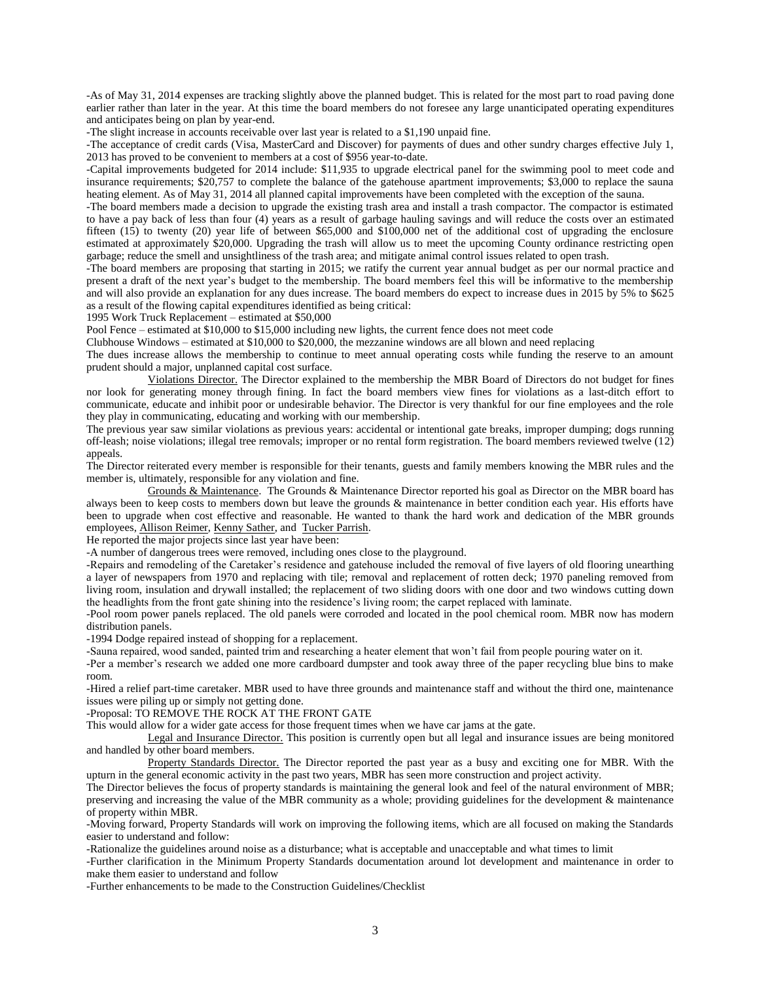-As of May 31, 2014 expenses are tracking slightly above the planned budget. This is related for the most part to road paving done earlier rather than later in the year. At this time the board members do not foresee any large unanticipated operating expenditures and anticipates being on plan by year-end.

-The slight increase in accounts receivable over last year is related to a \$1,190 unpaid fine.

-The acceptance of credit cards (Visa, MasterCard and Discover) for payments of dues and other sundry charges effective July 1, 2013 has proved to be convenient to members at a cost of \$956 year-to-date.

-Capital improvements budgeted for 2014 include: \$11,935 to upgrade electrical panel for the swimming pool to meet code and insurance requirements; \$20,757 to complete the balance of the gatehouse apartment improvements; \$3,000 to replace the sauna heating element. As of May 31, 2014 all planned capital improvements have been completed with the exception of the sauna.

-The board members made a decision to upgrade the existing trash area and install a trash compactor. The compactor is estimated to have a pay back of less than four (4) years as a result of garbage hauling savings and will reduce the costs over an estimated fifteen  $(15)$  to twenty  $(20)$  year life of between \$65,000 and \$100,000 net of the additional cost of upgrading the enclosure estimated at approximately \$20,000. Upgrading the trash will allow us to meet the upcoming County ordinance restricting open garbage; reduce the smell and unsightliness of the trash area; and mitigate animal control issues related to open trash.

-The board members are proposing that starting in 2015; we ratify the current year annual budget as per our normal practice and present a draft of the next year's budget to the membership. The board members feel this will be informative to the membership and will also provide an explanation for any dues increase. The board members do expect to increase dues in 2015 by 5% to \$625 as a result of the flowing capital expenditures identified as being critical:

1995 Work Truck Replacement – estimated at \$50,000

Pool Fence – estimated at \$10,000 to \$15,000 including new lights, the current fence does not meet code

Clubhouse Windows – estimated at \$10,000 to \$20,000, the mezzanine windows are all blown and need replacing

The dues increase allows the membership to continue to meet annual operating costs while funding the reserve to an amount prudent should a major, unplanned capital cost surface.

Violations Director. The Director explained to the membership the MBR Board of Directors do not budget for fines nor look for generating money through fining. In fact the board members view fines for violations as a last-ditch effort to communicate, educate and inhibit poor or undesirable behavior. The Director is very thankful for our fine employees and the role they play in communicating, educating and working with our membership.

The previous year saw similar violations as previous years: accidental or intentional gate breaks, improper dumping; dogs running off-leash; noise violations; illegal tree removals; improper or no rental form registration. The board members reviewed twelve (12) appeals.

The Director reiterated every member is responsible for their tenants, guests and family members knowing the MBR rules and the member is, ultimately, responsible for any violation and fine.

Grounds & Maintenance. The Grounds & Maintenance Director reported his goal as Director on the MBR board has always been to keep costs to members down but leave the grounds & maintenance in better condition each year. His efforts have been to upgrade when cost effective and reasonable. He wanted to thank the hard work and dedication of the MBR grounds employees, Allison Reimer, Kenny Sather, and Tucker Parrish.

He reported the major projects since last year have been:

-A number of dangerous trees were removed, including ones close to the playground.

-Repairs and remodeling of the Caretaker's residence and gatehouse included the removal of five layers of old flooring unearthing a layer of newspapers from 1970 and replacing with tile; removal and replacement of rotten deck; 1970 paneling removed from living room, insulation and drywall installed; the replacement of two sliding doors with one door and two windows cutting down the headlights from the front gate shining into the residence's living room; the carpet replaced with laminate.

-Pool room power panels replaced. The old panels were corroded and located in the pool chemical room. MBR now has modern distribution panels.

-1994 Dodge repaired instead of shopping for a replacement.

-Sauna repaired, wood sanded, painted trim and researching a heater element that won't fail from people pouring water on it.

-Per a member's research we added one more cardboard dumpster and took away three of the paper recycling blue bins to make room.

-Hired a relief part-time caretaker. MBR used to have three grounds and maintenance staff and without the third one, maintenance issues were piling up or simply not getting done.

-Proposal: TO REMOVE THE ROCK AT THE FRONT GATE

This would allow for a wider gate access for those frequent times when we have car jams at the gate.

Legal and Insurance Director. This position is currently open but all legal and insurance issues are being monitored and handled by other board members.

Property Standards Director. The Director reported the past year as a busy and exciting one for MBR. With the upturn in the general economic activity in the past two years, MBR has seen more construction and project activity.

The Director believes the focus of property standards is maintaining the general look and feel of the natural environment of MBR; preserving and increasing the value of the MBR community as a whole; providing guidelines for the development & maintenance of property within MBR.

-Moving forward, Property Standards will work on improving the following items, which are all focused on making the Standards easier to understand and follow:

-Rationalize the guidelines around noise as a disturbance; what is acceptable and unacceptable and what times to limit

-Further clarification in the Minimum Property Standards documentation around lot development and maintenance in order to make them easier to understand and follow

-Further enhancements to be made to the Construction Guidelines/Checklist